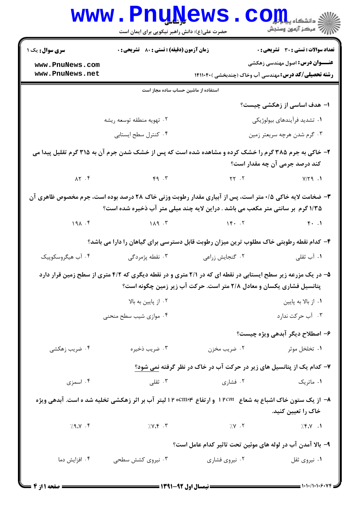| <b>سری سوال :</b> یک ۱             | زمان آزمون (دقیقه) : تستی : 80 ٪ تشریحی : 0   |                                                                                                                                                                                          | <b>تعداد سوالات : تستی : 30 - تشریحی : 0</b> |  |
|------------------------------------|-----------------------------------------------|------------------------------------------------------------------------------------------------------------------------------------------------------------------------------------------|----------------------------------------------|--|
| www.PnuNews.com<br>www.PnuNews.net |                                               | <b>رشته تحصیلی/کد درس:</b> مهندسی آب وخاک (چندبخشی )۱۴۱۱۰۴۰                                                                                                                              | <b>عنـــوان درس:</b> اصول مهندسی زهکشی       |  |
|                                    | استفاده از ماشین حساب ساده مجاز است           |                                                                                                                                                                                          |                                              |  |
|                                    |                                               |                                                                                                                                                                                          | ۱– هدف اساسی از زهکشی چیست؟                  |  |
|                                    | ۰۲ تهویه منطقه توسعه ریشه                     |                                                                                                                                                                                          | ۰۱ تشدید فرآیندهای بیولوژیکی                 |  |
|                                    | ۰۴ کنترل سطح ایستابی                          |                                                                                                                                                                                          | ۰۳ گرم شدن هرچه سریعتر زمین                  |  |
|                                    |                                               | ۲- خاکی به جرم ۳۸۵ گرم را خشک کرده و مشاهده شده است که پس از خشک شدن جرم آن به ۳۱۵ گرم تقلیل پیدا می                                                                                     | کند درصد جرمی آن چه مقدار است؟               |  |
|                                    |                                               | $XY. F$ $Y \rightarrow T$ $Y \rightarrow T$ $Y \rightarrow T$ $Y \rightarrow T$ $Y \rightarrow T$ $Y \rightarrow T$                                                                      |                                              |  |
|                                    |                                               | ۳- ضخامت لایه خاکی ۰/۵ متر است، پس از آبیاری مقدار رطوبت وزنی خاک ۲۸ درصد بوده است، جرم مخصوص ظاهری آن<br>۱/۳۵ گرم بر سانتی متر مکعب می باشد . دراین لایه چند میلی متر آب ذخیره شده است؟ |                                              |  |
|                                    |                                               | $19\lambda .$ $f$ $1\lambda 9.$ $\lambda$                                                                                                                                                |                                              |  |
|                                    |                                               | ۴- کدام نقطه رطوبتی خاک مطلوب ترین میزان رطوبت قابل دسترسی برای گیاهان را دارا می باشد؟                                                                                                  |                                              |  |
| ۰۴ آب هیگروسکوپیک                  | ۰ <sup>۳</sup> نقطه پژمردگی                   | ٠٢ گنجايش زراعي                                                                                                                                                                          | ۰۱ آب ثقلی                                   |  |
|                                    |                                               | ۵– در یک مزرعه زیر سطح ایستابی در نقطه ای که در ۲/۱ متری و در نقطه دیگری که ۴/۲ متری از سطح زمین قرار دارد<br>پتانسیل فشاری یکسان و معادل ۲/۸ متر است. حرکت آب زیر زمین چگونه است؟       |                                              |  |
|                                    |                                               |                                                                                                                                                                                          | ۰۱ از بالا به پایین                          |  |
|                                    | ۰۲ از پایین به بالا<br>۰۴ موازی شیب سطح منحنی |                                                                                                                                                                                          | ۰۳ آب حرکت ندارد                             |  |
|                                    |                                               |                                                                                                                                                                                          | ۶– اصطلاح دیگر آبدهی ویژه چیست؟              |  |
| ۰۴ ضریب زهکشی                      | ۰۳ ضريب ذخيره                                 | ۰۲ ضریب مخزن                                                                                                                                                                             | ۰۱ تخلخل موثر                                |  |
|                                    |                                               | ۷- کدام یک از پتانسیل های زیر در حرکت آب در خاک در نظر گرفته نمی شود؟                                                                                                                    |                                              |  |
| ۰۴ اسمزی                           | ۰۳ ثقلی                                       | ۰۲ فشاری                                                                                                                                                                                 | ۰۱ ماتریک                                    |  |
|                                    |                                               | ۸− از یک ستون خاک اشباع به شعاع   ۱۲cm و ارتفاع ۱۳۰۵m۹۴ ا لیتر آب بر اثر زهکشی تخلیه شد ه است. آبدهی ویژه                                                                                | خاک را تعیین کنید.                           |  |
| 7.9.7.7                            | $7.1$ $\uparrow$ $\uparrow$                   | $7.5$ $\cdot$ $\cdot$ $\cdot$                                                                                                                                                            | $7.8 \times 1$                               |  |
|                                    |                                               | ۹- بالا آمدن آب در لوله های موئین تحت تاثیر کدام عامل است؟                                                                                                                               |                                              |  |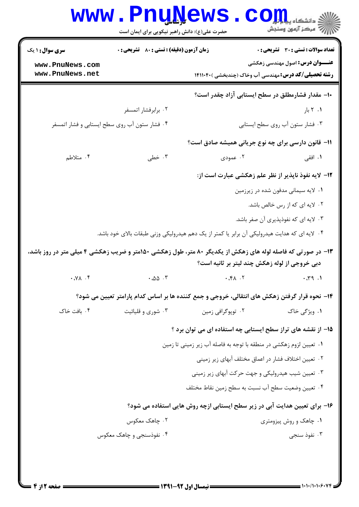|                                                                                                             | www.PnuNews<br>حضرت علی(ع): دانش راهبر نیکویی برای ایمان است       |                                                                                               | ي دانشگاه پيا <mark>ب</mark> لو<br>أأأأ مركز آزمون وسنجش |  |
|-------------------------------------------------------------------------------------------------------------|--------------------------------------------------------------------|-----------------------------------------------------------------------------------------------|----------------------------------------------------------|--|
| <b>سری سوال : ۱ یک</b>                                                                                      | <b>زمان آزمون (دقیقه) : تستی : 80 ٪ تشریحی : 0</b>                 |                                                                                               | تعداد سوالات : تستى : 30 قشريحى : 0                      |  |
| www.PnuNews.com<br>www.PnuNews.net                                                                          |                                                                    | <b>رشته تحصیلی/کد درس:</b> مهندسی آب وخاک (چندبخشی )۱۴۱۱۰۴۰                                   | <b>عنـــوان درس:</b> اصول مهندسی زهکشی                   |  |
|                                                                                                             |                                                                    | ∙۱− مقدار فشارمطلق در سطح ایستابی آزاد چقدر است؟                                              |                                                          |  |
|                                                                                                             | ۰۲ برابرفشار اتمسفر                                                |                                                                                               | ۰۱ ۲ بار                                                 |  |
|                                                                                                             | ۰۴ فشار ستون آب روی سطح ایستابی و فشار اتمسفر                      |                                                                                               | ۰۳ فشار ستون آب روی سطح ایستابی                          |  |
|                                                                                                             |                                                                    | 11- قانون دارسی برای چه نوع جریانی همیشه صادق است؟                                            |                                                          |  |
| ۰۴ متلاطم                                                                                                   | ۰۳ خطی                                                             | ۰۲ عمودی                                                                                      | ۰۱ افقی                                                  |  |
|                                                                                                             |                                                                    | <b>۱۲</b> - لایه نفوذ ناپذیر از نظر علم زهکشی عبارت است از:                                   |                                                          |  |
|                                                                                                             |                                                                    |                                                                                               | ۰۱ لایه سیمانی مدفون شده در زیرزمین                      |  |
|                                                                                                             |                                                                    |                                                                                               | ۰۲ لایه ای که از رس خالص باشد.                           |  |
|                                                                                                             |                                                                    |                                                                                               | ۰۳ لایه ای که نفوذپذیری آن صفر باشد.                     |  |
|                                                                                                             |                                                                    | ۰۴ لایه ای که هدایت هیدرولیکی آن برابر یا کمتر از یک دهم هیدرولیکی وزنی طبقات بالای خود باشد. |                                                          |  |
| ۱۳- در صورتی که فاصله لوله های زهکش از یکدیگر ۸۰ متر، طول زهکشی ۱۵۰متر و ضریب زهکشی ۴ میلی متر در روز باشد، |                                                                    |                                                                                               |                                                          |  |
|                                                                                                             |                                                                    | دبی خروجی از لوله زهکش چند لیتر بر ثانیه است؟                                                 |                                                          |  |
| $Y \cdot \Delta Y \cdot Y$                                                                                  | $\cdot$ . ۵۵ $\cdot$ ۳                                             |                                                                                               |                                                          |  |
|                                                                                                             |                                                                    | ۱۴– نحوه قرار گرفتن زهکش های انتقالی، خروجی و جمع کننده ها بر اساس کدام پارامتر تعیین می شود؟ |                                                          |  |
| ۰۴ بافت خاک                                                                                                 | ۰۳ شوری و قلیائیت                                                  | ۰۲ توپوگرافي زمين                                                                             | ۰۱ ویژگی خاک                                             |  |
|                                                                                                             |                                                                    | ۱۵– از نقشه های تراز سطح ایستابی چه استفاده ای می توان برد ؟                                  |                                                          |  |
|                                                                                                             | ۰۱ تعیین لزوم زهکشی در منطقه با توجه به فاصله آب زیر زمینی تا زمین |                                                                                               |                                                          |  |
|                                                                                                             |                                                                    | ۰۲ تعیین اختلاف فشار در اعماق مختلف آبهای زیر زمینی                                           |                                                          |  |
|                                                                                                             |                                                                    | ۰۳ تعیین شیب هیدرولیکی و جهت حرکت آبهای زیر زمینی                                             |                                                          |  |
|                                                                                                             |                                                                    | ۰۴ تعيين وضعيت سطح آب نسبت به سطح زمين نقاط مختلف                                             |                                                          |  |
|                                                                                                             |                                                                    | ۱۶– برای تعیین هدایت آبی در زیر سطح ایستابی ازچه روش هایی استفاده می شود؟                     |                                                          |  |
|                                                                                                             | ۰۲ چاهک معکوس                                                      |                                                                                               | ۰۱ چاهک و روش پیزومتری                                   |  |
|                                                                                                             | ۰۴ نفوذسنجي و چاهک معکوس                                           |                                                                                               | ۰۳ نفوذ سنجي                                             |  |
|                                                                                                             |                                                                    |                                                                                               |                                                          |  |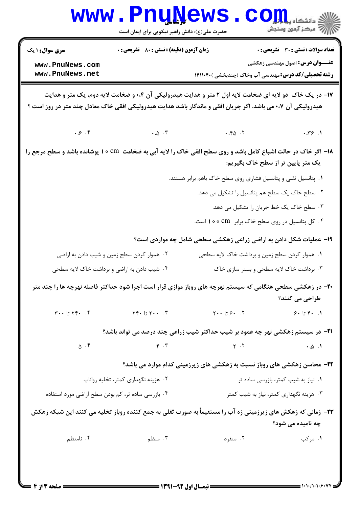|                                                                                                                                                                                                                        | ک شاہیے<br>حضرت علی(ع): دانش راهبر نیکویی برای ایمان است |                                                                                                                                                                                                                                                                                                                                                                                                                                                                                             | د دانشگاه پ <b>یا با تار</b><br>أأأأ مركز آزمون وسنجش |  |  |  |
|------------------------------------------------------------------------------------------------------------------------------------------------------------------------------------------------------------------------|----------------------------------------------------------|---------------------------------------------------------------------------------------------------------------------------------------------------------------------------------------------------------------------------------------------------------------------------------------------------------------------------------------------------------------------------------------------------------------------------------------------------------------------------------------------|-------------------------------------------------------|--|--|--|
| <b>سری سوال : ۱ یک</b>                                                                                                                                                                                                 | <b>زمان آزمون (دقیقه) : تستی : 80 ٪ تشریحی : 0</b>       |                                                                                                                                                                                                                                                                                                                                                                                                                                                                                             | <b>تعداد سوالات : تستی : 30 ٪ تشریحی : 0</b>          |  |  |  |
| www.PnuNews.com<br>www.PnuNews.net                                                                                                                                                                                     |                                                          | <b>رشته تحصیلی/کد درس:</b> مهندسی آب وخاک (چندبخشی )۱۴۱۱۰۴۰                                                                                                                                                                                                                                                                                                                                                                                                                                 | <b>عنـــوان درس:</b> اصول مهندسی زهکشی                |  |  |  |
| ۱۷- در یک خاک دو لایه ای ضخامت لایه اول ۲ متر و هدایت هیدرولیکی آن ۰،۴ و ضخامت لایه دوم، یک متر و هدایت<br>هیدرولیکی آن ۰،۷ می باشد. اگر جریان افقی و ماندگار باشد هدایت هیدرولیکی افقی خاک معادل چند متر در روز است ؟ |                                                          |                                                                                                                                                                                                                                                                                                                                                                                                                                                                                             |                                                       |  |  |  |
| $\cdot$ , $\circ$ . $\circ$                                                                                                                                                                                            |                                                          | $\cdot \omega$ $\cdot \mathsf{r}$ $\cdot \cdot \mathsf{r}\omega$ $\cdot \mathsf{r}$                                                                                                                                                                                                                                                                                                                                                                                                         | .75.1                                                 |  |  |  |
| ۱۸– اگر خاک در حالت اشباع کامل باشد و روی سطح افقی خاک را لایه آبی به ضخامت  cm ه ۱ پوشانده باشد و سطح مرجع را<br>۰۲ هموار کردن سطح زمین و شیب دادن به اراضی<br>۰۴ شیب دادن به اراضی و برداشت خاک لایه سطحی            |                                                          | ۰۱ پتانسیل ثقلی و پتانسیل فشاری روی سطح خاک باهم برابر هستند.<br>۰۲ سطح خاک یک سطح هم پتانسیل را تشکیل می دهد.<br>۰۳ سطح خاک یک خط جریان را تشکیل می دهد.<br>۰۴ کل پتانسیل در روی سطح خاک برابر Cm ه ۱۰ است.<br>۱۹- عملیات شکل دادن به اراضی زراعی زهکشی سطحی شامل چه مواردی است؟<br>۰۱ هموار کردن سطح زمین و برداشت خاک لایه سطحی<br>۰۳ برداشت خاک لایه سطحی و بستر سازی خاک<br>۲۰- در زهکشی سطحی هنگامی که سیستم نهرچه های روباز موازی قرار است اجرا شود حداکثر فاصله نهرچه ها را چند متر | یک متر پایین تر از سطح خاک بگیریم:<br>طراحی می کنند؟  |  |  |  |
| $Y \cdot \cdot U Y \cdot \cdot \cdot Y$                                                                                                                                                                                | $\Upsilon \cdot \Gamma$ تا ۲۴۰ $\Upsilon$                | $\mathsf{Y}\cdot\cdot\mathsf{U}\mathrel{\mathcal{S}}\cdot\ \cdot\mathsf{Y}$                                                                                                                                                                                                                                                                                                                                                                                                                 | 9.57.1                                                |  |  |  |
| $\Delta$ .۴                                                                                                                                                                                                            | $\mathbf{r}$ . $\mathbf{r}$                              | <b>۲۱</b> - در سیستم زهکشی نهر چه عمود بر شیب حداکثر شیب زراعی چند درصد می تواند باشد؟<br>$Y \cdot Y$                                                                                                                                                                                                                                                                                                                                                                                       | $\cdot \omega \cdot 1$                                |  |  |  |
|                                                                                                                                                                                                                        |                                                          | ۲۲- محاسن زهکشی های روباز نسبت به زهکشی های زیرزمینی کدام موارد می باشد؟                                                                                                                                                                                                                                                                                                                                                                                                                    |                                                       |  |  |  |
|                                                                                                                                                                                                                        | ۰۲ هزینه نگهداری کمتر، تخلیه رواناب                      |                                                                                                                                                                                                                                                                                                                                                                                                                                                                                             | ۰۱ نیاز به شیب کمتر، بازرسی ساده تر                   |  |  |  |
| ۰۴ بازرسی ساده تر، کم بودن سطح اراضی مورد استفاده                                                                                                                                                                      |                                                          |                                                                                                                                                                                                                                                                                                                                                                                                                                                                                             | ۰۳ هزینه نگهداری کمتر، نیاز به شیب کمتر               |  |  |  |
| <b>۲۳</b> - زمانی که زهکش های زیرزمینی زه آب را مستقیماً به صورت ثقلی به جمع کننده روباز تخلیه می کنند این شبکه زهکش<br>چه نامیده می شود؟                                                                              |                                                          |                                                                                                                                                                                                                                                                                                                                                                                                                                                                                             |                                                       |  |  |  |
| ۰۴ نامنظم                                                                                                                                                                                                              | ۰۳ منظم                                                  | ۰۲ منفرد                                                                                                                                                                                                                                                                                                                                                                                                                                                                                    | ۰۱ مرکب                                               |  |  |  |
|                                                                                                                                                                                                                        |                                                          |                                                                                                                                                                                                                                                                                                                                                                                                                                                                                             |                                                       |  |  |  |

٠